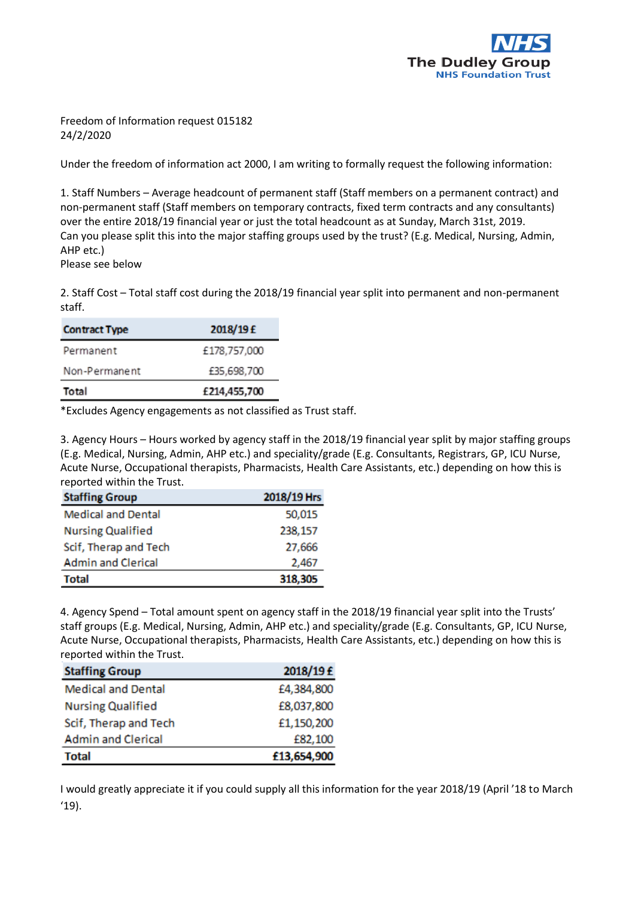

Freedom of Information request 015182 24/2/2020

Under the freedom of information act 2000, I am writing to formally request the following information:

1. Staff Numbers – Average headcount of permanent staff (Staff members on a permanent contract) and non-permanent staff (Staff members on temporary contracts, fixed term contracts and any consultants) over the entire 2018/19 financial year or just the total headcount as at Sunday, March 31st, 2019. Can you please split this into the major staffing groups used by the trust? (E.g. Medical, Nursing, Admin, AHP etc.)

Please see below

2. Staff Cost – Total staff cost during the 2018/19 financial year split into permanent and non-permanent staff.

| 2018/19 £    |
|--------------|
| £178,757,000 |
| £35,698,700  |
| £214,455,700 |
|              |

\*Excludes Agency engagements as not classified as Trust staff.

3. Agency Hours – Hours worked by agency staff in the 2018/19 financial year split by major staffing groups (E.g. Medical, Nursing, Admin, AHP etc.) and speciality/grade (E.g. Consultants, Registrars, GP, ICU Nurse, Acute Nurse, Occupational therapists, Pharmacists, Health Care Assistants, etc.) depending on how this is reported within the Trust.

| <b>Staffing Group</b>     | 2018/19 Hrs |
|---------------------------|-------------|
| <b>Medical and Dental</b> | 50,015      |
| <b>Nursing Qualified</b>  | 238,157     |
| Scif, Therap and Tech     | 27,666      |
| <b>Admin and Clerical</b> | 2,467       |
| <b>Total</b>              | 318,305     |

4. Agency Spend – Total amount spent on agency staff in the 2018/19 financial year split into the Trusts' staff groups (E.g. Medical, Nursing, Admin, AHP etc.) and speciality/grade (E.g. Consultants, GP, ICU Nurse, Acute Nurse, Occupational therapists, Pharmacists, Health Care Assistants, etc.) depending on how this is reported within the Trust.

| <b>Staffing Group</b>     | 2018/19 £   |
|---------------------------|-------------|
| <b>Medical and Dental</b> | £4,384,800  |
| <b>Nursing Qualified</b>  | £8,037,800  |
| Scif, Therap and Tech     | £1,150,200  |
| <b>Admin and Clerical</b> | £82,100     |
| <b>Total</b>              | £13,654,900 |

I would greatly appreciate it if you could supply all this information for the year 2018/19 (April '18 to March '19).